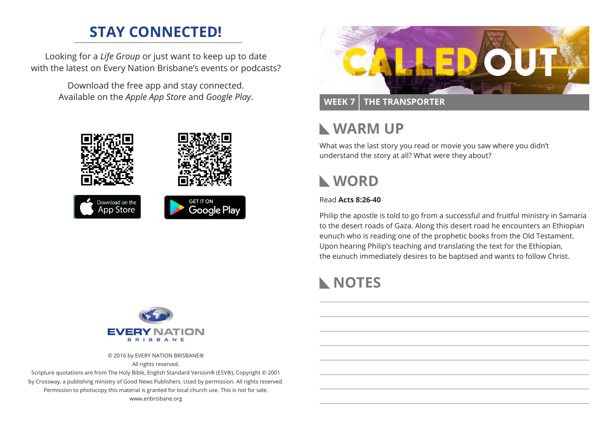# **STAY CONNECTED!**

Looking for a *Life Group* or just want to keep up to date with the latest on Every Nation Brisbane's events or podcasts?

> Download the free app and stay connected. Available on the *Apple App Store* and *Google Play*.





## **WEEK 7 THE TRANSPORTER**

## **WARM UP**

What was the last story you read or movie you saw where you didn't understand the story at all? What were they about?

# **WORD**

### Read **Acts 8:26-40**

Philip the apostle is told to go from a successful and fruitful ministry in Samaria to the desert roads of Gaza. Along this desert road he encounters an Ethiopian eunuch who is reading one of the prophetic books from the Old Testament. Upon hearing Philip's teaching and translating the text for the Ethiopian, the eunuch immediately desires to be baptised and wants to follow Christ.

# **NOTES**



© 2016 by EVERY NATION BRISBANE®

All rights reserved.

Scripture quotations are from The Holy Bible, English Standard Version® (ESV®), Copyright © 2001 by Crossway, a publishing ministry of Good News Publishers. Used by permission. All rights reserved. Permission to photocopy this material is granted for local church use. This is not for sale. www.enbrisbane.org